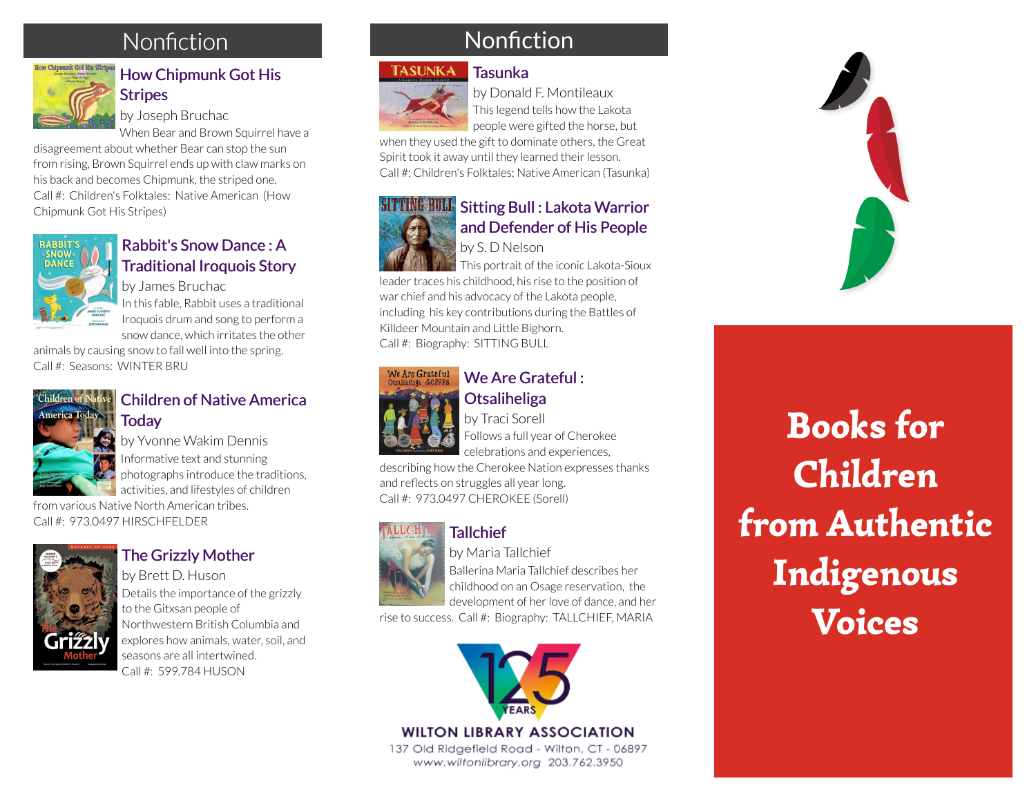## Nonfiction



#### [How Chipmunk Got His](https://libraryaware.com/27YA43) [Stripes](https://libraryaware.com/27YA43)

by Joseph Bruchac

When Bear and Brown Squirrel have a

disagreement about whether Bear can stop the sun from rising, Brown Squirrel ends up with claw marks on his back and becomes Chipmunk, the striped one. Call #: Children's Folktales: Native American (How Chipmunk Got His Stripes)



#### [Rabbit's Snow Dance : A](https://libraryaware.com/27YA44) [Traditional Iroquois Story](https://libraryaware.com/27YA44)

by James Bruchac In this fable, Rabbit uses a traditional Iroquois drum and song to perform a snow dance, which irritates the other

animals by causing snow to fall well into the spring. Call #: Seasons: WINTER BRU



#### [Children of Native America](https://libraryaware.com/27YA45) **[Today](https://libraryaware.com/27YA45)**

by Yvonne Wakim Dennis Informative text and stunning photographs introduce the traditions, activities, and lifestyles of children

from various Native North American tribes. Call #: 973.0497 HIRSCHFELDER



#### [The Grizzly Mother](https://libraryaware.com/27YA46)

by Brett D. Huson Details the importance of the grizzly to the Gitxsan people of Northwestern British Columbia and explores how animals, water, soil, and seasons are all intertwined. Call #: 599.784 HUSON

## Nonfiction

#### TASUNKA **[Tasunka](https://libraryaware.com/27YA3Z)**



by Donald F. Montileaux This legend tells how the Lakota people were gifted the horse, but

when they used the gift to dominate others, the Great Spirit took it away until they learned their lesson. Call #: Children's Folktales: Native American (Tasunka)



#### **SITTING BULL** Sitting Bull: Lakota Warrior [and Defender of His People](https://libraryaware.com/27YA40)

by S. D Nelson

This portrait of the iconic Lakota-Sioux leader traces his childhood, his rise to the position of war chief and his advocacy of the Lakota people, including his key contributions during the Battles of

Killdeer Mountain and Little Bighorn. Call #: Biography: SITTING BULL



#### [We Are Grateful :](https://libraryaware.com/27YA41) **[Otsaliheliga](https://libraryaware.com/27YA41)**

by Traci Sorell Follows a full year of Cherokee celebrations and experiences,

describing how the Cherokee Nation expresses thanks and reflects on struggles all year long. Call #: 973.0497 CHEROKEE (Sorell)

# **[Tallchief](https://libraryaware.com/27YA42)**

by Maria Tallchief Ballerina Maria Tallchief describes her childhood on an Osage reservation, the development of her love of dance, and her

rise to success. Call #: Biography: TALLCHIEF, MARIA



#### **WILTON LIBRARY ASSOCIATION**

137 Old Ridgefield Road - Wilton, CT - 06897 www.wiltonlibrary.org 203.762.3950



Books for Children from Authentic Indigenous Voices